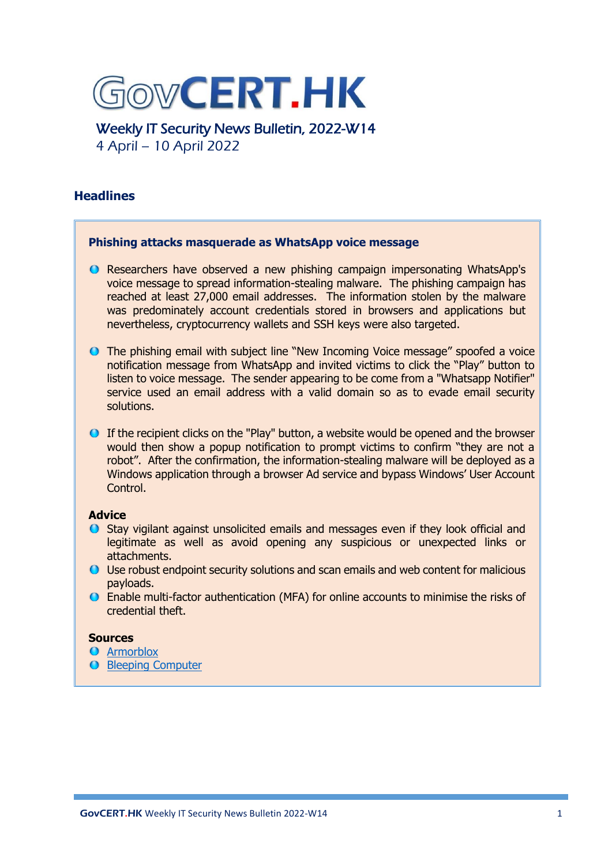

Weekly IT Security News Bulletin, 2022-W14 4 April – 10 April 2022

# **Headlines**

# **Phishing attacks masquerade as WhatsApp voice message** ● Researchers have observed a new phishing campaign impersonating WhatsApp's voice message to spread information-stealing malware. The phishing campaign has reached at least 27,000 email addresses. The information stolen by the malware was predominately account credentials stored in browsers and applications but nevertheless, cryptocurrency wallets and SSH keys were also targeted. The phishing email with subject line "New Incoming Voice message" spoofed a voice notification message from WhatsApp and invited victims to click the "Play" button to listen to voice message. The sender appearing to be come from a "Whatsapp Notifier" service used an email address with a valid domain so as to evade email security solutions. If the recipient clicks on the "Play" button, a website would be opened and the browser would then show a popup notification to prompt victims to confirm "they are not a robot". After the confirmation, the information-stealing malware will be deployed as a Windows application through a browser Ad service and bypass Windows' User Account Control. **Advice** Stay vigilant against unsolicited emails and messages even if they look official and legitimate as well as avoid opening any suspicious or unexpected links or attachments. Use robust endpoint security solutions and scan emails and web content for malicious payloads. Enable multi-factor authentication (MFA) for online accounts to minimise the risks of credential theft. **Sources O** [Armorblox](https://www.armorblox.com/blog/whatsapp-voicemail-phishing-attack/)

**O** Bleeping [Computer](https://www.bleepingcomputer.com/news/security/whatsapp-voice-message-phishing-emails-push-info-stealing-malware/)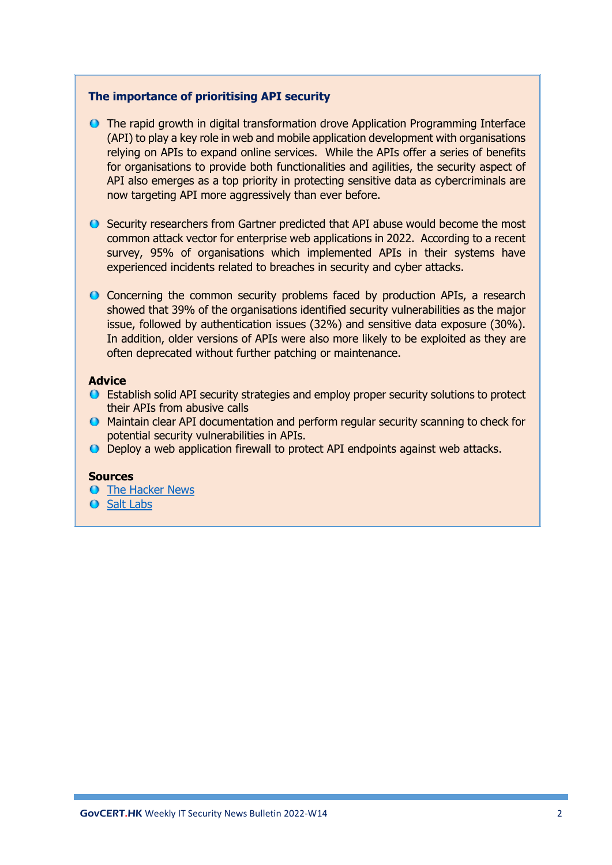### **The importance of prioritising API security**

- The rapid growth in digital transformation drove Application Programming Interface (API) to play a key role in web and mobile application development with organisations relying on APIs to expand online services. While the APIs offer a series of benefits for organisations to provide both functionalities and agilities, the security aspect of API also emerges as a top priority in protecting sensitive data as cybercriminals are now targeting API more aggressively than ever before.
- Security researchers from Gartner predicted that API abuse would become the most common attack vector for enterprise web applications in 2022. According to a recent survey, 95% of organisations which implemented APIs in their systems have experienced incidents related to breaches in security and cyber attacks.
- Concerning the common security problems faced by production APIs, a research showed that 39% of the organisations identified security vulnerabilities as the major issue, followed by authentication issues (32%) and sensitive data exposure (30%). In addition, older versions of APIs were also more likely to be exploited as they are often deprecated without further patching or maintenance.

### **Advice**

- Establish solid API security strategies and employ proper security solutions to protect their APIs from abusive calls
- Maintain clear API documentation and perform regular security scanning to check for potential security vulnerabilities in APIs.
- Deploy a web application firewall to protect API endpoints against web attacks.

### **Sources**

- **O** [The Hacker News](https://thehackernews.com/2022/04/is-api-security-on-your-radar.html)
- **O** [Salt Labs](https://salt.security/api-security-trends)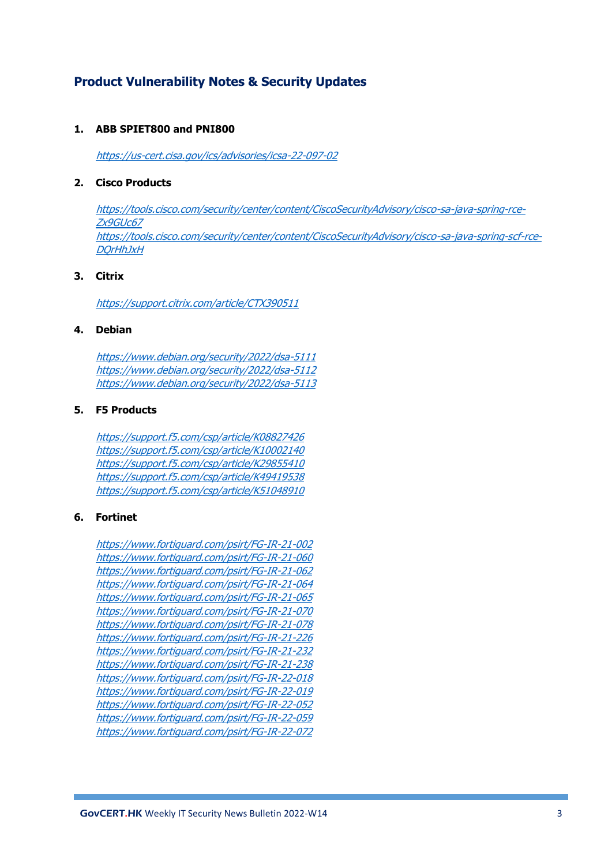# **Product Vulnerability Notes & Security Updates**

#### **1. ABB SPIET800 and PNI800**

<https://us-cert.cisa.gov/ics/advisories/icsa-22-097-02>

#### **2. Cisco Products**

[https://tools.cisco.com/security/center/content/CiscoSecurityAdvisory/cisco-sa-java-spring-rce-](https://tools.cisco.com/security/center/content/CiscoSecurityAdvisory/cisco-sa-java-spring-rce-Zx9GUc67)[Zx9GUc67](https://tools.cisco.com/security/center/content/CiscoSecurityAdvisory/cisco-sa-java-spring-rce-Zx9GUc67) [https://tools.cisco.com/security/center/content/CiscoSecurityAdvisory/cisco-sa-java-spring-scf-rce-](https://tools.cisco.com/security/center/content/CiscoSecurityAdvisory/cisco-sa-java-spring-scf-rce-DQrHhJxH)**DOrHhJxH** 

### **3. Citrix**

<https://support.citrix.com/article/CTX390511>

#### **4. Debian**

<https://www.debian.org/security/2022/dsa-5111> <https://www.debian.org/security/2022/dsa-5112> <https://www.debian.org/security/2022/dsa-5113>

#### **5. F5 Products**

<https://support.f5.com/csp/article/K08827426> <https://support.f5.com/csp/article/K10002140> <https://support.f5.com/csp/article/K29855410> <https://support.f5.com/csp/article/K49419538> <https://support.f5.com/csp/article/K51048910>

#### **6. Fortinet**

<https://www.fortiguard.com/psirt/FG-IR-21-002> <https://www.fortiguard.com/psirt/FG-IR-21-060> <https://www.fortiguard.com/psirt/FG-IR-21-062> <https://www.fortiguard.com/psirt/FG-IR-21-064> <https://www.fortiguard.com/psirt/FG-IR-21-065> <https://www.fortiguard.com/psirt/FG-IR-21-070> <https://www.fortiguard.com/psirt/FG-IR-21-078> <https://www.fortiguard.com/psirt/FG-IR-21-226> <https://www.fortiguard.com/psirt/FG-IR-21-232> <https://www.fortiguard.com/psirt/FG-IR-21-238> <https://www.fortiguard.com/psirt/FG-IR-22-018> <https://www.fortiguard.com/psirt/FG-IR-22-019> <https://www.fortiguard.com/psirt/FG-IR-22-052> <https://www.fortiguard.com/psirt/FG-IR-22-059> <https://www.fortiguard.com/psirt/FG-IR-22-072>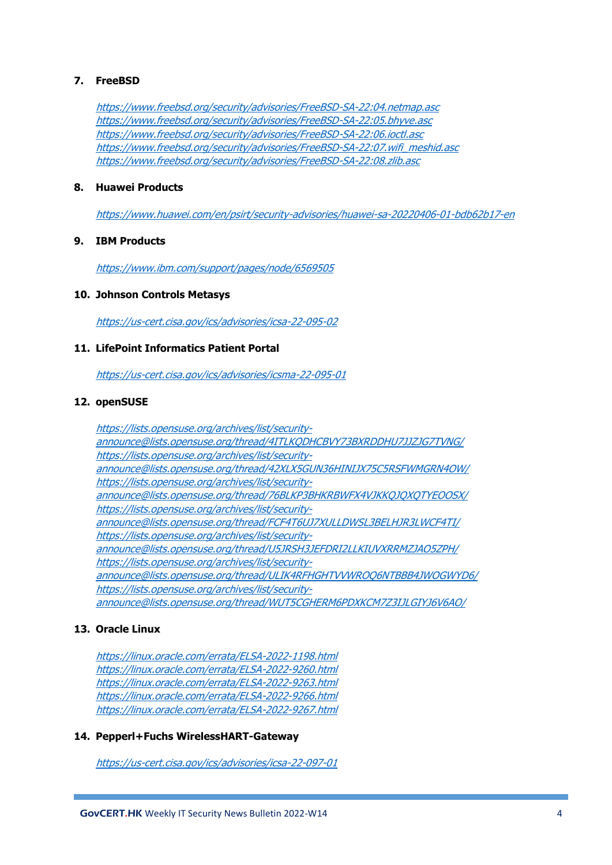### **7. FreeBSD**

<https://www.freebsd.org/security/advisories/FreeBSD-SA-22:04.netmap.asc> <https://www.freebsd.org/security/advisories/FreeBSD-SA-22:05.bhyve.asc> <https://www.freebsd.org/security/advisories/FreeBSD-SA-22:06.ioctl.asc> [https://www.freebsd.org/security/advisories/FreeBSD-SA-22:07.wifi\\_meshid.asc](https://www.freebsd.org/security/advisories/FreeBSD-SA-22:07.wifi_meshid.asc) <https://www.freebsd.org/security/advisories/FreeBSD-SA-22:08.zlib.asc>

#### **8. Huawei Products**

<https://www.huawei.com/en/psirt/security-advisories/huawei-sa-20220406-01-bdb62b17-en>

### **9. IBM Products**

<https://www.ibm.com/support/pages/node/6569505>

#### **10. Johnson Controls Metasys**

<https://us-cert.cisa.gov/ics/advisories/icsa-22-095-02>

#### **11. LifePoint Informatics Patient Portal**

<https://us-cert.cisa.gov/ics/advisories/icsma-22-095-01>

#### **12. openSUSE**

[https://lists.opensuse.org/archives/list/security](https://lists.opensuse.org/archives/list/security-announce@lists.opensuse.org/thread/4ITLKQDHCBVY73BXRDDHU7JJZJG7TVNG/)[announce@lists.opensuse.org/thread/4ITLKQDHCBVY73BXRDDHU7JJZJG7TVNG/](https://lists.opensuse.org/archives/list/security-announce@lists.opensuse.org/thread/4ITLKQDHCBVY73BXRDDHU7JJZJG7TVNG/) [https://lists.opensuse.org/archives/list/security](https://lists.opensuse.org/archives/list/security-announce@lists.opensuse.org/thread/42XLX5GUN36HINIJX75C5RSFWMGRN4OW/)[announce@lists.opensuse.org/thread/42XLX5GUN36HINIJX75C5RSFWMGRN4OW/](https://lists.opensuse.org/archives/list/security-announce@lists.opensuse.org/thread/42XLX5GUN36HINIJX75C5RSFWMGRN4OW/) [https://lists.opensuse.org/archives/list/security](https://lists.opensuse.org/archives/list/security-announce@lists.opensuse.org/thread/76BLKP3BHKRBWFX4VJKKQJQXQTYEOOSX/)[announce@lists.opensuse.org/thread/76BLKP3BHKRBWFX4VJKKQJQXQTYEOOSX/](https://lists.opensuse.org/archives/list/security-announce@lists.opensuse.org/thread/76BLKP3BHKRBWFX4VJKKQJQXQTYEOOSX/) [https://lists.opensuse.org/archives/list/security](https://lists.opensuse.org/archives/list/security-announce@lists.opensuse.org/thread/FCF4T6UJ7XULLDWSL3BELHJR3LWCF4TI/)[announce@lists.opensuse.org/thread/FCF4T6UJ7XULLDWSL3BELHJR3LWCF4TI/](https://lists.opensuse.org/archives/list/security-announce@lists.opensuse.org/thread/FCF4T6UJ7XULLDWSL3BELHJR3LWCF4TI/) [https://lists.opensuse.org/archives/list/security](https://lists.opensuse.org/archives/list/security-announce@lists.opensuse.org/thread/U5JRSH3JEFDRI2LLKIUVXRRMZJAO5ZPH/)[announce@lists.opensuse.org/thread/U5JRSH3JEFDRI2LLKIUVXRRMZJAO5ZPH/](https://lists.opensuse.org/archives/list/security-announce@lists.opensuse.org/thread/U5JRSH3JEFDRI2LLKIUVXRRMZJAO5ZPH/) [https://lists.opensuse.org/archives/list/security](https://lists.opensuse.org/archives/list/security-announce@lists.opensuse.org/thread/ULIK4RFHGHTVVWROQ6NTBBB4JWOGWYD6/)[announce@lists.opensuse.org/thread/ULIK4RFHGHTVVWROQ6NTBBB4JWOGWYD6/](https://lists.opensuse.org/archives/list/security-announce@lists.opensuse.org/thread/ULIK4RFHGHTVVWROQ6NTBBB4JWOGWYD6/) [https://lists.opensuse.org/archives/list/security](https://lists.opensuse.org/archives/list/security-announce@lists.opensuse.org/thread/WUT5CGHERM6PDXKCM7Z3IJLGIYJ6V6AO/)[announce@lists.opensuse.org/thread/WUT5CGHERM6PDXKCM7Z3IJLGIYJ6V6AO/](https://lists.opensuse.org/archives/list/security-announce@lists.opensuse.org/thread/WUT5CGHERM6PDXKCM7Z3IJLGIYJ6V6AO/)

### **13. Oracle Linux**

<https://linux.oracle.com/errata/ELSA-2022-1198.html> <https://linux.oracle.com/errata/ELSA-2022-9260.html> <https://linux.oracle.com/errata/ELSA-2022-9263.html> <https://linux.oracle.com/errata/ELSA-2022-9266.html> <https://linux.oracle.com/errata/ELSA-2022-9267.html>

#### **14. Pepperl+Fuchs WirelessHART-Gateway**

<https://us-cert.cisa.gov/ics/advisories/icsa-22-097-01>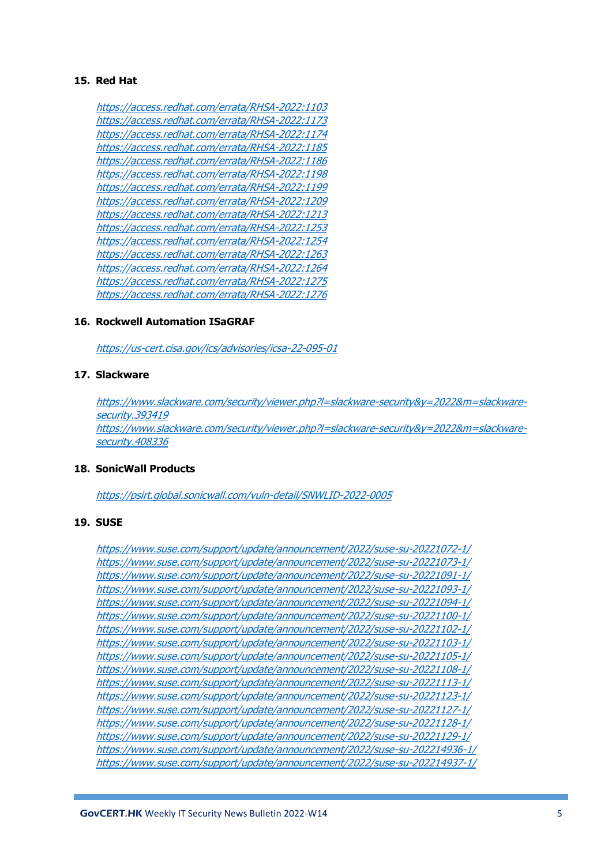### **15. Red Hat**

<https://access.redhat.com/errata/RHSA-2022:1103> <https://access.redhat.com/errata/RHSA-2022:1173> <https://access.redhat.com/errata/RHSA-2022:1174> <https://access.redhat.com/errata/RHSA-2022:1185> <https://access.redhat.com/errata/RHSA-2022:1186> <https://access.redhat.com/errata/RHSA-2022:1198> <https://access.redhat.com/errata/RHSA-2022:1199> <https://access.redhat.com/errata/RHSA-2022:1209> <https://access.redhat.com/errata/RHSA-2022:1213> <https://access.redhat.com/errata/RHSA-2022:1253> <https://access.redhat.com/errata/RHSA-2022:1254> <https://access.redhat.com/errata/RHSA-2022:1263> <https://access.redhat.com/errata/RHSA-2022:1264> <https://access.redhat.com/errata/RHSA-2022:1275> <https://access.redhat.com/errata/RHSA-2022:1276>

#### **16. Rockwell Automation ISaGRAF**

<https://us-cert.cisa.gov/ics/advisories/icsa-22-095-01>

#### **17. Slackware**

[https://www.slackware.com/security/viewer.php?l=slackware-security&y=2022&m=slackware](https://www.slackware.com/security/viewer.php?l=slackware-security&y=2022&m=slackware-security.393419)[security.393419](https://www.slackware.com/security/viewer.php?l=slackware-security&y=2022&m=slackware-security.393419) [https://www.slackware.com/security/viewer.php?l=slackware-security&y=2022&m=slackware](https://www.slackware.com/security/viewer.php?l=slackware-security&y=2022&m=slackware-security.408336)[security.408336](https://www.slackware.com/security/viewer.php?l=slackware-security&y=2022&m=slackware-security.408336)

#### **18. SonicWall Products**

<https://psirt.global.sonicwall.com/vuln-detail/SNWLID-2022-0005>

#### **19. SUSE**

```
https://www.suse.com/support/update/announcement/2022/suse-su-20221072-1/
https://www.suse.com/support/update/announcement/2022/suse-su-20221073-1/
https://www.suse.com/support/update/announcement/2022/suse-su-20221091-1/
https://www.suse.com/support/update/announcement/2022/suse-su-20221093-1/
https://www.suse.com/support/update/announcement/2022/suse-su-20221094-1/
https://www.suse.com/support/update/announcement/2022/suse-su-20221100-1/
https://www.suse.com/support/update/announcement/2022/suse-su-20221102-1/
https://www.suse.com/support/update/announcement/2022/suse-su-20221103-1/
https://www.suse.com/support/update/announcement/2022/suse-su-20221105-1/
https://www.suse.com/support/update/announcement/2022/suse-su-20221108-1/
https://www.suse.com/support/update/announcement/2022/suse-su-20221113-1/
https://www.suse.com/support/update/announcement/2022/suse-su-20221123-1/
https://www.suse.com/support/update/announcement/2022/suse-su-20221127-1/
https://www.suse.com/support/update/announcement/2022/suse-su-20221128-1/
https://www.suse.com/support/update/announcement/2022/suse-su-20221129-1/
https://www.suse.com/support/update/announcement/2022/suse-su-202214936-1/
https://www.suse.com/support/update/announcement/2022/suse-su-202214937-1/
```